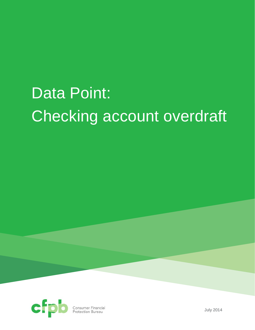# Data Point: Checking account overdraft



**Consumer Financial**<br>Protection Bureau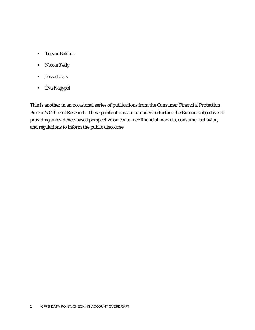- **Trevor Bakker**
- **Nicole Kelly**
- Jesse Leary
- Éva Nagypál

This is another in an occasional series of publications from the Consumer Financial Protection Bureau's Office of Research. These publications are intended to further the Bureau's objective of providing an evidence-based perspective on consumer financial markets, consumer behavior, and regulations to inform the public discourse.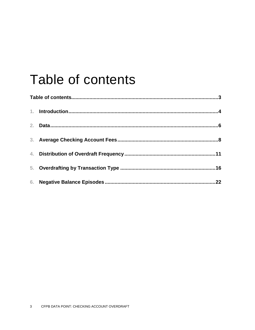## Table of contents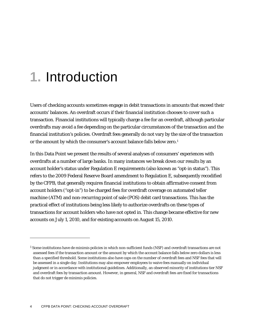### **1.** Introduction

Users of checking accounts sometimes engage in debit transactions in amounts that exceed their accounts' balances. An overdraft occurs if their financial institution chooses to cover such a transaction. Financial institutions will typically charge a fee for an overdraft, although particular overdrafts may avoid a fee depending on the particular circumstances of the transaction and the financial institution's policies. Overdraft fees generally do not vary by the size of the transaction or the amount by which the consumer's account balance falls below zero.<sup>[1](#page-3-0)</sup>

In this Data Point we present the results of several analyses of consumers' experiences with overdrafts at a number of large banks. In many instances we break down our results by an account holder's status under Regulation E requirements (also known as "opt-in status"). This refers to the 2009 Federal Reserve Board amendment to Regulation E, subsequently recodified by the CFPB, that generally requires financial institutions to obtain affirmative consent from account holders ("opt-in") to be charged fees for overdraft coverage on automated teller machine (ATM) and non-recurring point of sale (POS) debit card transactions. This has the practical effect of institutions being less likely to authorize overdrafts on these types of transactions for account holders who have not opted in. This change became effective for new accounts on July 1, 2010, and for existing accounts on August 15, 2010.

<span id="page-3-0"></span><sup>1</sup> Some institutions have *de minimis* policies in which non-sufficient funds (NSF) and overdraft transactions are not assessed fees if the transaction amount or the amount by which the account balance falls below zero dollars is less than a specified threshold. Some institutions also have caps on the number of overdraft fees and NSF fees that will be assessed in a single day. Institutions may also empower employees to waive fees manually on individual judgment or in accordance with institutional guidelines. Additionally, an observed minority of institutions tier NSF and overdraft fees by transaction amount. However, in general, NSF and overdraft fees are fixed for transactions that do not trigger *de minimis* policies.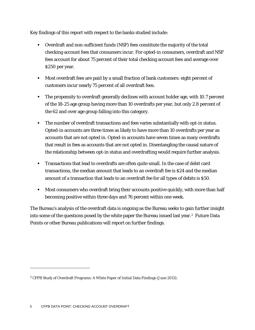Key findings of this report with respect to the banks studied include:

- Overdraft and non-sufficient funds (NSF) fees constitute the majority of the total checking account fees that consumers incur. For opted-in consumers, overdraft and NSF fees account for about 75 percent of their total checking account fees and average over \$250 per year.
- Most overdraft fees are paid by a small fraction of bank customers: eight percent of customers incur nearly 75 percent of all overdraft fees.
- The propensity to overdraft generally declines with account holder age, with 10.7 percent of the 18-25 age group having more than 10 overdrafts per year, but only 2.8 percent of the 62 and over age group falling into this category.
- **The number of overdraft transactions and fees varies substantially with opt-in status.** Opted-in accounts are three times as likely to have more than 10 overdrafts per year as accounts that are not opted in. Opted-in accounts have seven times as many overdrafts that result in fees as accounts that are not opted in. Disentangling the causal nature of the relationship between opt-in status and overdrafting would require further analysis.
- Transactions that lead to overdrafts are often quite small. In the case of debit card transactions, the median amount that leads to an overdraft fee is \$24 and the median amount of a transaction that leads to an overdraft fee for all types of debits is \$50.
- **Most consumers who overdraft bring their accounts positive quickly, with more than half** becoming positive within three days and 76 percent within one week.

The Bureau's analysis of the overdraft data is ongoing as the Bureau seeks to gain further insight into some of the questions posed by the white paper the Bureau issued last year.[2](#page-4-0) Future Data Points or other Bureau publications will report on further findings.

<span id="page-4-0"></span><sup>2</sup> CFPB Study of Overdraft Programs: A White Paper of Initial Data Findings (June 2013).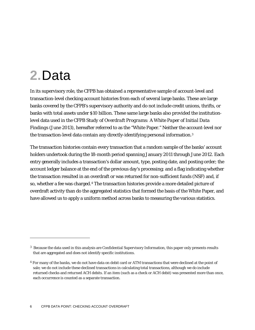## **2.**Data

1

In its supervisory role, the CFPB has obtained a representative sample of account-level and transaction-level checking account histories from each of several large banks. These are large banks covered by the CFPB's supervisory authority and do not include credit unions, thrifts, or banks with total assets under \$10 billion. These same large banks also provided the institutionlevel data used in the *CFPB Study of Overdraft Programs: A White Paper of Initial Data Findings* (June 2013), hereafter referred to as the "White Paper." Neither the account-level nor the transaction-level data contain any directly-identifying personal information.[3](#page-5-0)

The transaction histories contain every transaction that a random sample of the banks' account holders undertook during the 18-month period spanning January 2011 through June 2012. Each entry generally includes a transaction's dollar amount, type, posting date, and posting order; the account ledger balance at the end of the previous day's processing; and a flag indicating whether the transaction resulted in an overdraft or was returned for non-sufficient funds (NSF) and, if so, whether a fee was charged.[4](#page-5-1) The transaction histories provide a more detailed picture of overdraft activity than do the aggregated statistics that formed the basis of the White Paper, and have allowed us to apply a uniform method across banks to measuring the various statistics.

<span id="page-5-0"></span><sup>3</sup> Because the data used in this analysis are Confidential Supervisory Information, this paper only presents results that are aggregated and does not identify specific institutions.

<span id="page-5-1"></span><sup>&</sup>lt;sup>4</sup> For many of the banks, we do not have data on debit card or ATM transactions that were declined at the point of sale; we do not include these declined transactions in calculating total transactions, although we do include returned checks and returned ACH debits. If an item (such as a check or ACH debit) was presented more than once, each occurrence is counted as a separate transaction.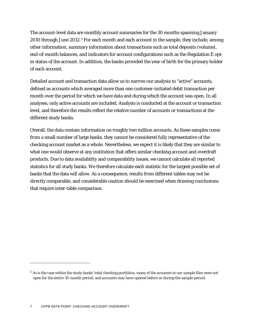The account-level data are monthly account summaries for the 30 months spanning January 2010 through June 2012.<sup>[5](#page-6-0)</sup> For each month and each account in the sample, they include, among other information, summary information about transactions such as total deposits (volume), end-of-month balances, and indicators for account configurations such as the Regulation E optin status of the account. In addition, the banks provided the year of birth for the primary holder of each account.

Detailed account and transaction data allow us to narrow our analysis to "active" accounts, defined as accounts which averaged more than one customer-initiated debit transaction per month over the period for which we have data and during which the account was open. In all analyses, only active accounts are included. Analysis is conducted at the account or transaction level, and therefore the results reflect the relative number of accounts or transactions at the different study banks.

Overall, the data contain information on roughly two million accounts. As these samples come from a small number of large banks, they cannot be considered fully representative of the checking account market as a whole. Nevertheless, we expect it is likely that they are similar to what one would observe at any institution that offers similar checking account and overdraft products. Due to data availability and comparability issues, we cannot calculate all reported statistics for all study banks. We therefore calculate each statistic for the largest possible set of banks that the data will allow. As a consequence, results from different tables may not be directly comparable, and considerable caution should be exercised when drawing conclusions that require inter-table comparison.

<span id="page-6-0"></span><sup>5</sup> As is the case within the study banks' total checking portfolios, many of the accounts in our sample files were not open for the entire 30-month period, and accounts may have opened before or during the sample period.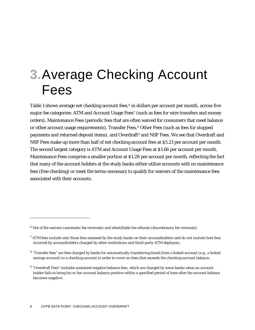### **3.**Average Checking Account Fees

Table 1 shows average net checking account fees, $6$  in dollars per account per month, across five major fee categories: ATM and Account Usage Fees[7](#page-7-1) (such as fees for wire transfers and money orders), Maintenance Fees (periodic fees that are often waived for consumers that meet balance or other account usage requirements), Transfer Fees,<sup>[8](#page-7-2)</sup> Other Fees (such as fees for stopped payments and returned deposit items), and Overdraft<sup>[9](#page-7-3)</sup> and NSF Fees. We see that Overdraft and NSF Fees make up more than half of net checking account fees at \$5.21 per account per month. The second largest category is ATM and Account Usage Fees at \$1.66 per account per month. Maintenance Fees comprise a smaller portion at \$1.28 per account per month, reflecting the fact that many of the account holders at the study banks either utilize accounts with no maintenance fees (free checking) or meet the terms necessary to qualify for waivers of the maintenance fees associated with their accounts.

<span id="page-7-0"></span> $6$  Net of fee waivers (automatic fee reversals) and identifiable fee refunds (discretionary fee reversals).

<span id="page-7-1"></span> $7$  ATM fees include only those fees assessed by the study banks on their accountholders and do not include host fees incurred by accountholders charged by other institutions and third-party ATM deployers.

<span id="page-7-2"></span><sup>8 &</sup>quot;Transfer fees" are fees charged by banks for automatically transferring funds from a linked account (e.g., a linked savings account) to a checking account in order to cover an item that exceeds the checking account balance.

<span id="page-7-3"></span><sup>9</sup> "Overdraft Fees" includes sustained negative balance fees, which are charged by some banks when an account holder fails to bring his or her account balance positive within a specified period of time after the account balance becomes negative.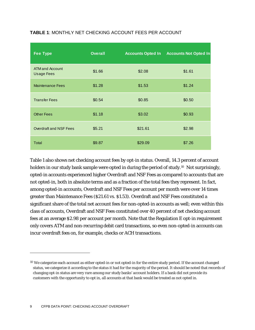| <b>Fee Type</b>                             | <b>Overall</b> | <b>Accounts Opted In</b> | <b>Accounts Not Opted In</b> |
|---------------------------------------------|----------------|--------------------------|------------------------------|
| <b>ATM and Account</b><br><b>Usage Fees</b> | \$1.66         | \$2.08                   | \$1.61                       |
| <b>Maintenance Fees</b>                     | \$1.28         | \$1.53                   | \$1.24                       |
| <b>Transfer Fees</b>                        | \$0.54         | \$0.85                   | \$0.50                       |
| <b>Other Fees</b>                           | \$1.18         | \$3.02                   | \$0.93                       |
| Overdraft and NSF Fees                      | \$5.21         | \$21.61                  | \$2.98                       |
| Total                                       | \$9.87         | \$29.09                  | \$7.26                       |

#### **TABLE 1**: MONTHLY NET CHECKING ACCOUNT FEES PER ACCOUNT

Table 1 also shows net checking account fees by opt-in status. Overall, 14.3 percent of account holders in our study bank sample were opted in during the period of study.<sup>10</sup> Not surprisingly, opted-in accounts experienced higher Overdraft and NSF Fees as compared to accounts that are not opted-in, both in absolute terms and as a fraction of the total fees they represent. In fact, among opted-in accounts, Overdraft and NSF Fees per account per month were over 14 times greater than Maintenance Fees (\$21.61 vs. \$1.53). Overdraft and NSF Fees constituted a significant share of the total net account fees for non-opted-in accounts as well; even within this class of accounts, Overdraft and NSF Fees constituted over 40 percent of net checking account fees at an average \$2.98 per account per month. Note that the Regulation E opt-in requirement only covers ATM and non-recurring debit card transactions, so even non-opted-in accounts can incur overdraft fees on, for example, checks or ACH transactions.

<span id="page-8-0"></span><sup>&</sup>lt;sup>10</sup> We categorize each account as either opted-in or not opted-in for the entire study period. If the account changed status, we categorize it according to the status it had for the majority of the period. It should be noted that records of changing opt-in status are very rare among our study banks' account holders. If a bank did not provide its customers with the opportunity to opt in, all accounts at that bank would be treated as not opted in.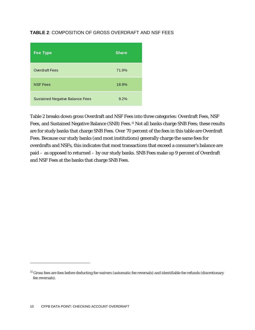#### **TABLE 2**: COMPOSITION OF GROSS OVERDRAFT AND NSF FEES

| <b>Fee Type</b>                        | <b>Share</b> |
|----------------------------------------|--------------|
| <b>Overdraft Fees</b>                  | 71.9%        |
| <b>NSF Fees</b>                        | 18.9%        |
| <b>Sustained Negative Balance Fees</b> | 9.2%         |

Table 2 breaks down gross Overdraft and NSF Fees into three categories: Overdraft Fees, NSF Fees, and Sustained Negative Balance (SNB) Fees.<sup>[11](#page-9-0)</sup> Not all banks charge SNB Fees; these results are for study banks that charge SNB Fees. Over 70 percent of the fees in this table are Overdraft Fees. Because our study banks (and most institutions) generally charge the same fees for overdrafts and NSFs, this indicates that most transactions that exceed a consumer's balance are paid – as opposed to returned – by our study banks. SNB Fees make up 9 percent of Overdraft and NSF Fees at the banks that charge SNB Fees.

<span id="page-9-0"></span><sup>&</sup>lt;sup>11</sup> Gross fees are fees before deducting fee waivers (automatic fee reversals) and identifiable fee refunds (discretionary fee reversals).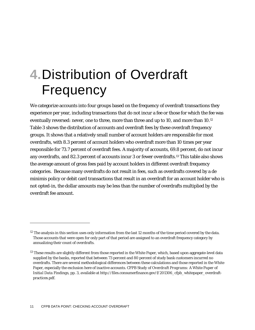## **4.**Distribution of Overdraft **Frequency**

We categorize accounts into four groups based on the frequency of overdraft transactions they experience per year, including transactions that do not incur a fee or those for which the fee was eventually reversed: never, one to three, more than three and up to 10, and more than 10.<sup>[12](#page-10-0)</sup> Table 3 shows the distribution of accounts and overdraft fees by these overdraft frequency groups. It shows that a relatively small number of account holders are responsible for most overdrafts, with 8.3 percent of account holders who overdraft more than 10 times per year responsible for 73.7 percent of overdraft fees. A majority of accounts, 69.8 percent, do not incur any overdrafts, and 82.3 percent of accounts incur 3 or fewer overdrafts.[13](#page-10-1) This table also shows the average amount of gross fees paid by account holders in different overdraft frequency categories. Because many overdrafts do not result in fees, such as overdrafts covered by a *de minimis* policy or debit card transactions that result in an overdraft for an account holder who is not opted-in, the dollar amounts may be less than the number of overdrafts multiplied by the overdraft fee amount.

<span id="page-10-0"></span> $12$  The analysis in this section uses only information from the last 12 months of the time period covered by the data. Those accounts that were open for only part of that period are assigned to an overdraft frequency category by annualizing their count of overdrafts.

<span id="page-10-1"></span> $^{13}$  These results are slightly different from those reported in the White Paper, which, based upon aggregate-level data supplied by the banks, reported that between 73 percent and 80 percent of study bank customers incurred no overdrafts. There are several methodological differences between these calculations and those reported in the White Paper, especially the exclusion here of inactive accounts. *CFPB Study of Overdraft Programs: A White Paper of Initial Data Findings*, pp. 3, available at http://files.consumerfinance.gov/f/201306\_cfpb\_whitepaper\_overdraftpractices.pdf.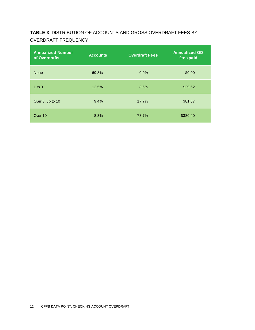### **TABLE 3**: DISTRIBUTION OF ACCOUNTS AND GROSS OVERDRAFT FEES BY OVERDRAFT FREQUENCY

| <b>Annualized Number</b><br>of Overdrafts | <b>Accounts</b> | <b>Overdraft Fees</b> | <b>Annualized OD</b><br>fees paid |
|-------------------------------------------|-----------------|-----------------------|-----------------------------------|
| <b>None</b>                               | 69.8%           | $0.0\%$               | \$0.00                            |
| $1$ to $3$                                | 12.5%           | 8.6%                  | \$29.62                           |
| Over 3, up to 10                          | 9.4%            | 17.7%                 | \$81.67                           |
| Over 10                                   | 8.3%            | 73.7%                 | \$380.40                          |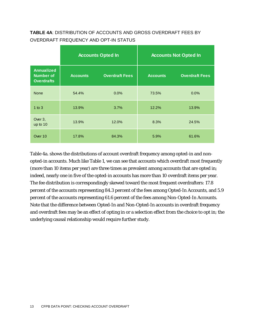#### **TABLE 4A**: DISTRIBUTION OF ACCOUNTS AND GROSS OVERDRAFT FEES BY OVERDRAFT FREQUENCY AND OPT-IN STATUS

|                                                            |                 | <b>Accounts Opted In</b> | <b>Accounts Not Opted In</b> |                       |  |  |
|------------------------------------------------------------|-----------------|--------------------------|------------------------------|-----------------------|--|--|
| <b>Annualized</b><br><b>Number of</b><br><b>Overdrafts</b> | <b>Accounts</b> | <b>Overdraft Fees</b>    | <b>Accounts</b>              | <b>Overdraft Fees</b> |  |  |
| <b>None</b>                                                | 54.4%           | 0.0%                     | 73.5%                        | 0.0%                  |  |  |
| $1$ to $3$                                                 | 13.9%           | 3.7%                     | 12.2%                        | 13.9%                 |  |  |
| Over 3,<br>up to 10                                        | 13.9%           | 12.0%                    | 8.3%                         | 24.5%                 |  |  |
| Over 10                                                    | 17.8%           | 84.3%                    | 5.9%                         | 61.6%                 |  |  |

Table 4a. shows the distributions of account overdraft frequency among opted-in and nonopted-in accounts. Much like Table 1, we can see that accounts which overdraft most frequently (more than 10 items per year) are three times as prevalent among accounts that are opted in; indeed, nearly one in five of the opted-in accounts has more than 10 overdraft items per year. The fee distribution is correspondingly skewed toward the most frequent overdrafters: 17.8 percent of the accounts representing 84.3 percent of the fees among Opted-In Accounts, and 5.9 percent of the accounts representing 61.6 percent of the fees among Non-Opted-In Accounts. Note that the difference between Opted-In and Non-Opted-In accounts in overdraft frequency and overdraft fees may be an effect of opting in or a selection effect from the choice to opt in; the underlying causal relationship would require further study.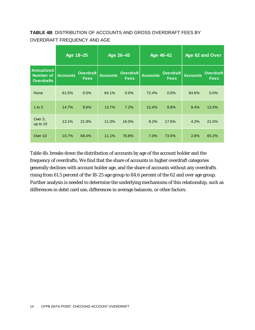#### **TABLE 4B**: DISTRIBUTION OF ACCOUNTS AND GROSS OVERDRAFT FEES BY OVERDRAFT FREQUENCY AND AGE

|                                                            |                 | Age 18-25                       |                 | Age 26-45                       |                 | Age 46-61                       | Age 62 and Over |                                 |
|------------------------------------------------------------|-----------------|---------------------------------|-----------------|---------------------------------|-----------------|---------------------------------|-----------------|---------------------------------|
| <b>Annualized</b><br><b>Number of</b><br><b>Overdrafts</b> | <b>Accounts</b> | <b>Overdraft</b><br><b>Fees</b> | <b>Accounts</b> | <b>Overdraft</b><br><b>Fees</b> | <b>Accounts</b> | <b>Overdraft</b><br><b>Fees</b> | <b>Accounts</b> | <b>Overdraft</b><br><b>Fees</b> |
| <b>None</b>                                                | 61.5%           | 0.0%                            | 64.1%           | 0.0%                            | 72.4%           | $0.0\%$                         | 84.6%           | 0.0%                            |
| $1$ to $3$                                                 | 14.7%           | 9.6%                            | 13.7%           | 7.2%                            | 12.4%           | 8.8%                            | 8.4%            | 13.3%                           |
| Over 3,<br>up to 10                                        | 13.1%           | 21.9%                           | 11.0%           | 16.0%                           | 8.2%            | 17.6%                           | 4.2%            | 21.5%                           |
| Over 10                                                    | 10.7%           | 68.4%                           | 11.1%           | 76.8%                           | 7.0%            | 73.5%                           | 2.8%            | 65.2%                           |

Table 4b. breaks down the distribution of accounts by age of the account holder and the frequency of overdrafts. We find that the share of accounts in higher overdraft categories generally declines with account holder age, and the share of accounts without any overdrafts rising from 61.5 percent of the 18-25 age group to 84.6 percent of the 62 and over age group. Further analysis is needed to determine the underlying mechanisms of this relationship, such as differences in debit card use, differences in average balances, or other factors.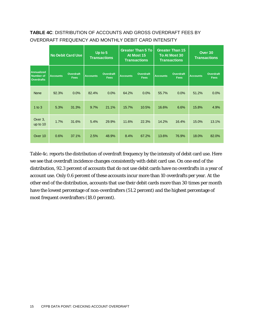### **TABLE 4C**: DISTRIBUTION OF ACCOUNTS AND GROSS OVERDRAFT FEES BY OVERDRAFT FREQUENCY AND MONTHLY DEBIT CARD INTENSITY

|                                                            |                 | <b>No Debit Card Use</b> |                 | Up to $5$<br><b>Transactions</b> |                 | <b>Greater Than 5 To</b><br>At Most 15<br><b>Transactions</b> | <b>Greater Than 15</b><br>To At Most 30<br><b>Transactions</b> |                          | Over 30<br><b>Transactions</b> |                          |
|------------------------------------------------------------|-----------------|--------------------------|-----------------|----------------------------------|-----------------|---------------------------------------------------------------|----------------------------------------------------------------|--------------------------|--------------------------------|--------------------------|
| <b>Annualized</b><br><b>Number of</b><br><b>Overdrafts</b> | <b>Accounts</b> | Overdraft<br><b>Fees</b> | <b>Accounts</b> | Overdraft<br>Fees                | <b>Accounts</b> | Overdraft<br><b>Fees</b>                                      | <b>Accounts</b>                                                | Overdraft<br><b>Fees</b> | <b>Accounts</b>                | Overdraft<br><b>Fees</b> |
| <b>None</b>                                                | 92.3%           | 0.0%                     | 82.4%           | 0.0%                             | 64.2%           | 0.0%                                                          | 55.7%                                                          | 0.0%                     | 51.2%                          | 0.0%                     |
| 1 to $3$                                                   | 5.3%            | 31.3%                    | 9.7%            | 21.1%                            | 15.7%           | 10.5%                                                         | 16.6%                                                          | 6.6%                     | 15.8%                          | 4.9%                     |
| Over 3,<br>up to 10                                        | 1.7%            | 31.6%                    | 5.4%            | 29.9%                            | 11.6%           | 22.3%                                                         | 14.2%                                                          | 16.4%                    | 15.0%                          | 13.1%                    |
| Over 10                                                    | 0.6%            | 37.1%                    | 2.5%            | 48.9%                            | 8.4%            | 67.2%                                                         | 13.6%                                                          | 76.9%                    | 18.0%                          | 82.0%                    |

Table 4c. reports the distribution of overdraft frequency by the intensity of debit card use. Here we see that overdraft incidence changes consistently with debit card use. On one end of the distribution, 92.3 percent of accounts that do not use debit cards have no overdrafts in a year of account use. Only 0.6 percent of these accounts incur more than 10 overdrafts per year. At the other end of the distribution, accounts that use their debit cards more than 30 times per month have the lowest percentage of non-overdrafters (51.2 percent) and the highest percentage of most frequent overdrafters (18.0 percent).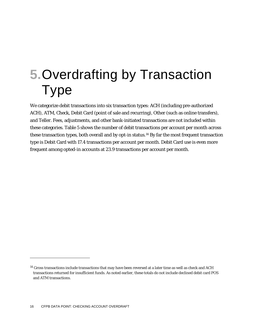# **5.**Overdrafting by Transaction Type

We categorize debit transactions into six transaction types: ACH (including pre-authorized ACH), ATM, Check, Debit Card (point of sale and recurring), Other (such as online transfers), and Teller. Fees, adjustments, and other bank-initiated transactions are not included within these categories. Table 5 shows the number of debit transactions per account per month across these transaction types, both overall and by opt-in status.[14](#page-15-0) By far the most frequent transaction type is Debit Card with 17.4 transactions per account per month. Debit Card use is even more frequent among opted-in accounts at 23.9 transactions per account per month.

<span id="page-15-0"></span><sup>&</sup>lt;sup>14</sup> Gross transactions include transactions that may have been reversed at a later time as well as check and ACH transactions returned for insufficient funds. As noted earlier, these totals do not include declined debit card POS and ATM transactions.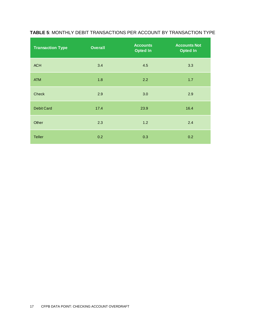| <b>Transaction Type</b> | <b>Overall</b> | <b>Accounts</b><br><b>Opted In</b> | <b>Accounts Not</b><br><b>Opted In</b> |
|-------------------------|----------------|------------------------------------|----------------------------------------|
| <b>ACH</b>              | 3.4            | 4.5                                | 3.3                                    |
| <b>ATM</b>              | 1.8            | 2.2                                | 1.7                                    |
| <b>Check</b>            | 2.9            | 3.0                                | 2.9                                    |
| <b>Debit Card</b>       | 17.4           | 23.9                               | 16.4                                   |
| Other                   | 2.3            | 1.2                                | 2.4                                    |
| <b>Teller</b>           | 0.2            | 0.3                                | 0.2                                    |

#### **TABLE 5**: MONTHLY DEBIT TRANSACTIONS PER ACCOUNT BY TRANSACTION TYPE

÷.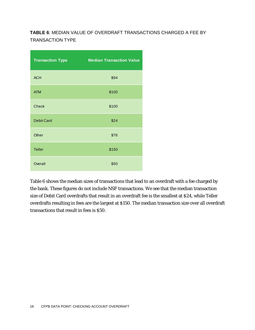### **TABLE 6**: MEDIAN VALUE OF OVERDRAFT TRANSACTIONS CHARGED A FEE BY TRANSACTION TYPE

| <b>Transaction Type</b> | <b>Median Transaction Value</b> |
|-------------------------|---------------------------------|
| <b>ACH</b>              | \$94                            |
| <b>ATM</b>              | \$100                           |
| <b>Check</b>            | \$100                           |
| <b>Debit Card</b>       | \$24                            |
| Other                   | \$76                            |
| <b>Teller</b>           | \$150                           |
| Overall                 | \$50                            |

Table 6 shows the median sizes of transactions that lead to an overdraft with a fee charged by the bank. These figures do not include NSF transactions. We see that the median transaction size of Debit Card overdrafts that result in an overdraft fee is the smallest at \$24, while Teller overdrafts resulting in fees are the largest at \$150. The median transaction size over all overdraft transactions that result in fees is \$50.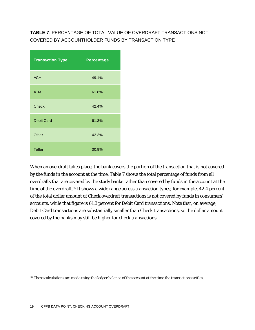### **TABLE 7**: PERCENTAGE OF TOTAL VALUE OF OVERDRAFT TRANSACTIONS NOT COVERED BY ACCOUNTHOLDER FUNDS BY TRANSACTION TYPE

| <b>Transaction Type</b> | <b>Percentage</b> |
|-------------------------|-------------------|
| <b>ACH</b>              | 49.1%             |
| <b>ATM</b>              | 61.8%             |
| <b>Check</b>            | 42.4%             |
| <b>Debit Card</b>       | 61.3%             |
| Other                   | 42.3%             |
| <b>Teller</b>           | 30.9%             |

When an overdraft takes place, the bank covers the portion of the transaction that is not covered by the funds in the account at the time. Table 7 shows the total percentage of funds from all overdrafts that are covered by the study banks rather than covered by funds in the account at the time of the overdraft.<sup>15</sup> It shows a wide range across transaction types; for example, 42.4 percent of the total dollar amount of Check overdraft transactions is not covered by funds in consumers' accounts, while that figure is 61.3 percent for Debit Card transactions. Note that, on average, Debit Card transactions are substantially smaller than Check transactions, so the dollar amount covered by the banks may still be higher for check transactions.

<span id="page-18-0"></span><sup>&</sup>lt;sup>15</sup> These calculations are made using the ledger balance of the account at the time the transactions settles.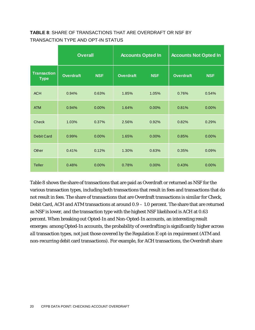#### **TABLE 8**: SHARE OF TRANSACTIONS THAT ARE OVERDRAFT OR NSF BY TRANSACTION TYPE AND OPT-IN STATUS

|                                   | <b>Overall</b>   |            | <b>Accounts Opted In</b> |            | <b>Accounts Not Opted In</b> |            |
|-----------------------------------|------------------|------------|--------------------------|------------|------------------------------|------------|
| <b>Transaction</b><br><b>Type</b> | <b>Overdraft</b> | <b>NSF</b> | <b>Overdraft</b>         | <b>NSF</b> | <b>Overdraft</b>             | <b>NSF</b> |
| <b>ACH</b>                        | 0.94%            | 0.63%      | 1.85%                    | 1.05%      | 0.76%                        | 0.54%      |
| <b>ATM</b>                        | 0.94%            | 0.00%      | 1.64%                    | 0.00%      | 0.81%                        | 0.00%      |
| <b>Check</b>                      | 1.03%            | 0.37%      | 2.56%                    | 0.92%      | 0.82%                        | 0.29%      |
| <b>Debit Card</b>                 | 0.99%            | 0.00%      | 1.65%                    | 0.00%      | 0.85%                        | 0.00%      |
| Other                             | 0.41%            | 0.12%      | 1.30%                    | 0.63%      | 0.35%                        | 0.09%      |
| <b>Teller</b>                     | 0.48%            | 0.00%      | 0.78%                    | 0.00%      | 0.43%                        | 0.00%      |

Table 8 shows the share of transactions that are paid as Overdraft or returned as NSF for the various transaction types, including both transactions that result in fees and transactions that do not result in fees. The share of transactions that are Overdraft transactions is similar for Check, Debit Card, ACH and ATM transactions at around 0.9 – 1.0 percent. The share that are returned as NSF is lower, and the transaction type with the highest NSF likelihood is ACH at 0.63 percent. When breaking out Opted-In and Non-Opted-In accounts, an interesting result emerges: among Opted-In accounts, the probability of overdrafting is significantly higher across *all* transaction types, not just those covered by the Regulation E opt-in requirement (ATM and non-recurring debit card transactions). For example, for ACH transactions, the Overdraft share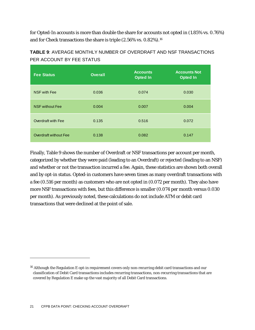for Opted-In accounts is more than double the share for accounts not opted in (1.85% vs. 0.76%) and for Check transactions the share is triple (2.56% vs. 0.82%).<sup>[16](#page-20-0)</sup>

| <b>TABLE 9:</b> AVERAGE MONTHLY NUMBER OF OVERDRAFT AND NSF TRANSACTIONS |
|--------------------------------------------------------------------------|
| PER ACCOUNT BY FEE STATUS                                                |

| <b>Fee Status</b>      | <b>Overall</b> | <b>Accounts</b><br><b>Opted In</b> | <b>Accounts Not</b><br><b>Opted In</b> |
|------------------------|----------------|------------------------------------|----------------------------------------|
| <b>NSF with Fee</b>    | 0.036          | 0.074                              | 0.030                                  |
| <b>NSF without Fee</b> | 0.004          | 0.007                              | 0.004                                  |
| Overdraft with Fee     | 0.135          | 0.516                              | 0.072                                  |
| Overdraft without Fee  | 0.138          | 0.082                              | 0.147                                  |

Finally, Table 9 shows the number of Overdraft or NSF transactions per account per month, categorized by whether they were paid (leading to an Overdraft) or rejected (leading to an NSF) and whether or not the transaction incurred a fee. Again, these statistics are shown both overall and by opt-in status. Opted-in customers have seven times as many overdraft transactions with a fee (0.516 per month) as customers who are not opted in (0.072 per month). They also have more NSF transactions with fees, but this difference is smaller (0.074 per month versus 0.030 per month). As previously noted, these calculations do not include ATM or debit card transactions that were declined at the point of sale.

<span id="page-20-0"></span><sup>&</sup>lt;sup>16</sup> Although the Regulation E opt-in requirement covers only non-recurring debit card transactions and our classification of Debit Card transactions includes recurring transactions, non-recurring transactions that are covered by Regulation E make up the vast majority of all Debit Card transactions.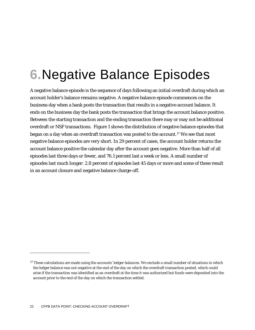# **6.**Negative Balance Episodes

A negative balance episode is the sequence of days following an initial overdraft during which an account holder's balance remains negative. A negative balance episode commences on the business day when a bank posts the transaction that results in a negative account balance. It ends on the business day the bank posts the transaction that brings the account balance positive. Between the starting transaction and the ending transaction there may or may not be additional overdraft or NSF transactions. Figure 1 shows the distribution of negative balance episodes that began on a day when an overdraft transaction was posted to the account.[17](#page-21-0) We see that most negative balance episodes are very short. In 29 percent of cases, the account holder returns the account balance positive the calendar day after the account goes negative. More than half of all episodes last three days or fewer, and 76.1 percent last a week or less. A small number of episodes last much longer: 2.8 percent of episodes last 45 days or more and some of these result in an account closure and negative balance charge-off.

<span id="page-21-0"></span> $17$  These calculations are made using the accounts' ledger balances. We exclude a small number of situations in which the ledger balance was not negative at the end of the day on which the overdraft transaction posted, which could arise if the transaction was identified as an overdraft at the time it was authorized but funds were deposited into the account prior to the end of the day on which the transaction settled.